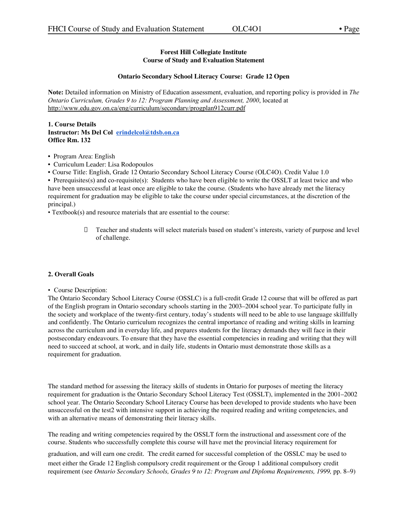### **Forest Hill Collegiate Institute Course of Study and Evaluation Statement**

#### **Ontario Secondary School Literacy Course: Grade 12 Open**

**Note:** Detailed information on Ministry of Education assessment, evaluation, and reporting policy is provided in *The Ontario Curriculum, Grades 9 to 12: Program Planning and Assessment, 2000*, located at http://www.edu.gov.on.ca/eng/curriculum/secondary/progplan912curr.pdf

#### **1. Course Details Instructor: Ms Del Col [erindelcol@tdsb.on.ca](mailto:erindelcol@tdsb.on.ca) Office Rm. 132**

- Program Area: English
- Curriculum Leader: Lisa Rodopoulos
- Course Title: English, Grade 12 Ontario Secondary School Literacy Course (OLC4O). Credit Value 1.0

• Prerequisites(s) and co-requisite(s): Students who have been eligible to write the OSSLT at least twice and who have been unsuccessful at least once are eligible to take the course. (Students who have already met the literacy requirement for graduation may be eligible to take the course under special circumstances, at the discretion of the principal.)

• Textbook(s) and resource materials that are essential to the course:

 Teacher and students will select materials based on student's interests, variety of purpose and level of challenge.

#### **2. Overall Goals**

• Course Description:

The Ontario Secondary School Literacy Course (OSSLC) is a full-credit Grade 12 course that will be offered as part of the English program in Ontario secondary schools starting in the 2003–2004 school year. To participate fully in the society and workplace of the twenty-first century, today's students will need to be able to use language skillfully and confidently. The Ontario curriculum recognizes the central importance of reading and writing skills in learning across the curriculum and in everyday life, and prepares students for the literacy demands they will face in their postsecondary endeavours. To ensure that they have the essential competencies in reading and writing that they will need to succeed at school, at work, and in daily life, students in Ontario must demonstrate those skills as a requirement for graduation.

The standard method for assessing the literacy skills of students in Ontario for purposes of meeting the literacy requirement for graduation is the Ontario Secondary School Literacy Test (OSSLT), implemented in the 2001–2002 school year. The Ontario Secondary School Literacy Course has been developed to provide students who have been unsuccessful on the test2 with intensive support in achieving the required reading and writing competencies, and with an alternative means of demonstrating their literacy skills.

The reading and writing competencies required by the OSSLT form the instructional and assessment core of the course. Students who successfully complete this course will have met the provincial literacy requirement for

graduation, and will earn one credit. The credit earned for successful completion of the OSSLC may be used to meet either the Grade 12 English compulsory credit requirement or the Group 1 additional compulsory credit requirement (see *Ontario Secondary Schools, Grades 9 to 12: Program and Diploma Requirements, 1999,* pp. 8–9)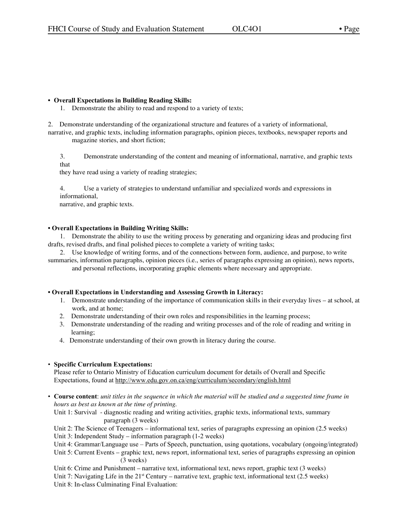### **• Overall Expectations in Building Reading Skills:**

1. Demonstrate the ability to read and respond to a variety of texts;

2. Demonstrate understanding of the organizational structure and features of a variety of informational, narrative, and graphic texts, including information paragraphs, opinion pieces, textbooks, newspaper reports and magazine stories, and short fiction;

3. Demonstrate understanding of the content and meaning of informational, narrative, and graphic texts that

they have read using a variety of reading strategies;

4. Use a variety of strategies to understand unfamiliar and specialized words and expressions in informational,

narrative, and graphic texts.

### **• Overall Expectations in Building Writing Skills:**

1. Demonstrate the ability to use the writing process by generating and organizing ideas and producing first drafts, revised drafts, and final polished pieces to complete a variety of writing tasks;

2. Use knowledge of writing forms, and of the connections between form, audience, and purpose, to write summaries, information paragraphs, opinion pieces (i.e., series of paragraphs expressing an opinion), news reports, and personal reflections, incorporating graphic elements where necessary and appropriate.

#### **• Overall Expectations in Understanding and Assessing Growth in Literacy:**

- 1. Demonstrate understanding of the importance of communication skills in their everyday lives at school, at work, and at home;
- 2. Demonstrate understanding of their own roles and responsibilities in the learning process;
- 3. Demonstrate understanding of the reading and writing processes and of the role of reading and writing in learning;
- 4. Demonstrate understanding of their own growth in literacy during the course.

#### • **Specific Curriculum Expectations:**

Please refer to Ontario Ministry of Education curriculum document for details of Overall and Specific Expectations, found at http://www.edu.gov.on.ca/eng/curriculum/secondary/english.html

• Course content: unit titles in the sequence in which the material will be studied and a suggested time frame in *hours as best as known at the time of printing.*

Unit 1: Survival - diagnostic reading and writing activities, graphic texts, informational texts, summary paragraph (3 weeks)

Unit 2: The Science of Teenagers – informational text, series of paragraphs expressing an opinion (2.5 weeks)

Unit 3: Independent Study – information paragraph (1-2 weeks)

- Unit 4: Grammar/Language use Parts of Speech, punctuation, using quotations, vocabulary (ongoing/integrated)
- Unit 5: Current Events graphic text, news report, informational text, series of paragraphs expressing an opinion (3 weeks)
- Unit 6: Crime and Punishment narrative text, informational text, news report, graphic text (3 weeks)

Unit 7: Navigating Life in the 21<sup>st</sup> Century – narrative text, graphic text, informational text (2.5 weeks) Unit 8: In-class Culminating Final Evaluation: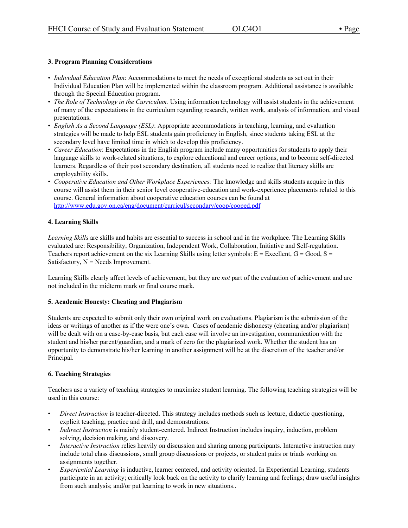# **3. Program Planning Considerations**

- *Individual Education Plan*: Accommodations to meet the needs of exceptional students as set out in their Individual Education Plan will be implemented within the classroom program. Additional assistance is available through the Special Education program.
- *The Role of Technology in the Curriculum.* Using information technology will assist students in the achievement of many of the expectations in the curriculum regarding research, written work, analysis of information, and visual presentations.
- *English As a Second Language (ESL)*: Appropriate accommodations in teaching, learning, and evaluation strategies will be made to help ESL students gain proficiency in English, since students taking ESL at the secondary level have limited time in which to develop this proficiency.
- *Career Education*: Expectations in the English program include many opportunities for students to apply their language skills to work-related situations, to explore educational and career options, and to become self-directed learners. Regardless of their post secondary destination, all students need to realize that literacy skills are employability skills.
- *Cooperative Education and Other Workplace Experiences:* The knowledge and skills students acquire in this course will assist them in their senior level cooperative-education and work-experience placements related to this course. General information about cooperative education courses can be found at <http://www.edu.gov.on.ca/eng/document/curricul/secondary/coop/cooped.pdf>

# **4. Learning Skills**

*Learning Skills* are skills and habits are essential to success in school and in the workplace. The Learning Skills evaluated are: Responsibility, Organization, Independent Work, Collaboration, Initiative and Self-regulation. Teachers report achievement on the six Learning Skills using letter symbols:  $E =$  Excellent,  $G =$  Good,  $S =$ Satisfactory,  $N =$  Needs Improvement.

Learning Skills clearly affect levels of achievement, but they are *not* part of the evaluation of achievement and are not included in the midterm mark or final course mark.

### **5. Academic Honesty: Cheating and Plagiarism**

Students are expected to submit only their own original work on evaluations. Plagiarism is the submission of the ideas or writings of another as if the were one's own. Cases of academic dishonesty (cheating and/or plagiarism) will be dealt with on a case-by-case basis, but each case will involve an investigation, communication with the student and his/her parent/guardian, and a mark of zero for the plagiarized work. Whether the student has an opportunity to demonstrate his/her learning in another assignment will be at the discretion of the teacher and/or Principal.

# **6. Teaching Strategies**

Teachers use a variety of teaching strategies to maximize student learning. The following teaching strategies will be used in this course:

- *Direct Instruction* is teacher-directed. This strategy includes methods such as lecture, didactic questioning, explicit teaching, practice and drill, and demonstrations.
- *Indirect Instruction* is mainly student-centered. Indirect Instruction includes inquiry, induction, problem solving, decision making, and discovery.
- *Interactive Instruction* relies heavily on discussion and sharing among participants. Interactive instruction may include total class discussions, small group discussions or projects, or student pairs or triads working on assignments together.
- *Experiential Learning* is inductive, learner centered, and activity oriented. In Experiential Learning, students participate in an activity; critically look back on the activity to clarify learning and feelings; draw useful insights from such analysis; and/or put learning to work in new situations..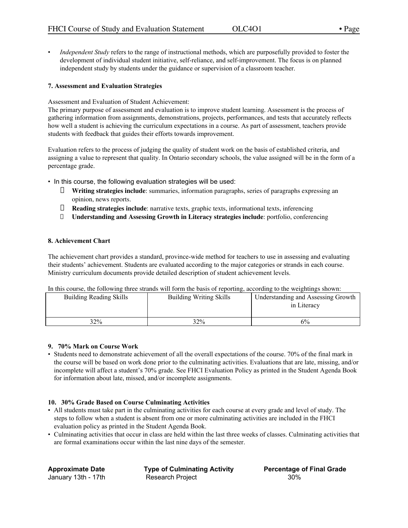• *Independent Study* refers to the range of instructional methods, which are purposefully provided to foster the development of individual student initiative, self-reliance, and self-improvement. The focus is on planned independent study by students under the guidance or supervision of a classroom teacher.

### **7. Assessment and Evaluation Strategies**

Assessment and Evaluation of Student Achievement:

The primary purpose of assessment and evaluation is to improve student learning. Assessment is the process of gathering information from assignments, demonstrations, projects, performances, and tests that accurately reflects how well a student is achieving the curriculum expectations in a course. As part of assessment, teachers provide students with feedback that guides their efforts towards improvement.

Evaluation refers to the process of judging the quality of student work on the basis of established criteria, and assigning a value to represent that quality. In Ontario secondary schools, the value assigned will be in the form of a percentage grade.

- In this course, the following evaluation strategies will be used:
	- **Writing strategies include**: summaries, information paragraphs, series of paragraphs expressing an opinion, news reports.
	- **Reading strategies include**: narrative texts, graphic texts, informational texts, inferencing
	- **Understanding and Assessing Growth in Literacy strategies include**: portfolio, conferencing

### **8. Achievement Chart**

The achievement chart provides a standard, province-wide method for teachers to use in assessing and evaluating their students' achievement. Students are evaluated according to the major categories or strands in each course. Ministry curriculum documents provide detailed description of student achievement levels.

In this course, the following three strands will form the basis of reporting, according to the weightings shown:

| <b>Building Reading Skills</b> | <b>Building Writing Skills</b> | Understanding and Assessing Growth<br>in Literacy |
|--------------------------------|--------------------------------|---------------------------------------------------|
| 32%                            | 32%                            | 6%                                                |

### **9. 70% Mark on Course Work**

• Students need to demonstrate achievement of all the overall expectations of the course. 70% of the final mark in the course will be based on work done prior to the culminating activities. Evaluations that are late, missing, and/or incomplete will affect a student's 70% grade. See FHCI Evaluation Policy as printed in the Student Agenda Book for information about late, missed, and/or incomplete assignments.

### **10. 30% Grade Based on Course Culminating Activities**

- All students must take part in the culminating activities for each course at every grade and level of study. The steps to follow when a student is absent from one or more culminating activities are included in the FHCI evaluation policy as printed in the Student Agenda Book.
- Culminating activities that occur in class are held within the last three weeks of classes. Culminating activities that are formal examinations occur within the last nine days of the semester.

**Approximate Date Type of Culminating Activity Percentage of Final Grade** January 13th - 17th **Research Project** 30%